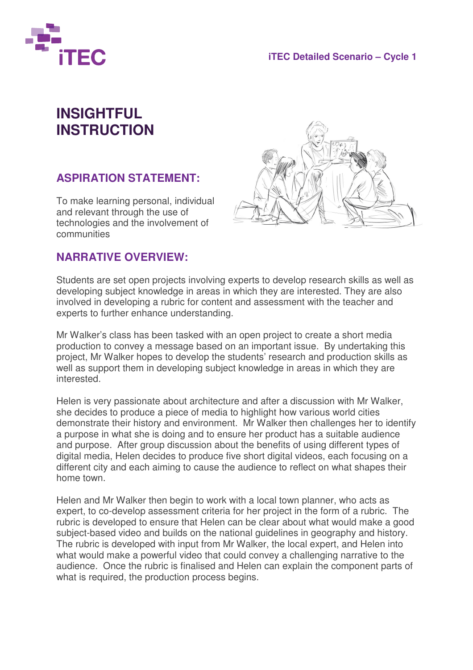

## **INSIGHTFUL INSTRUCTION**

## **ASPIRATION STATEMENT:**

To make learning personal, individual and relevant through the use of technologies and the involvement of communities



## **NARRATIVE OVERVIEW:**

Students are set open projects involving experts to develop research skills as well as developing subject knowledge in areas in which they are interested. They are also involved in developing a rubric for content and assessment with the teacher and experts to further enhance understanding.

Mr Walker's class has been tasked with an open project to create a short media production to convey a message based on an important issue. By undertaking this project, Mr Walker hopes to develop the students' research and production skills as well as support them in developing subject knowledge in areas in which they are interested.

Helen is very passionate about architecture and after a discussion with Mr Walker, she decides to produce a piece of media to highlight how various world cities demonstrate their history and environment. Mr Walker then challenges her to identify a purpose in what she is doing and to ensure her product has a suitable audience and purpose. After group discussion about the benefits of using different types of digital media, Helen decides to produce five short digital videos, each focusing on a different city and each aiming to cause the audience to reflect on what shapes their home town.

Helen and Mr Walker then begin to work with a local town planner, who acts as expert, to co-develop assessment criteria for her project in the form of a rubric. The rubric is developed to ensure that Helen can be clear about what would make a good subject-based video and builds on the national guidelines in geography and history. The rubric is developed with input from Mr Walker, the local expert, and Helen into what would make a powerful video that could convey a challenging narrative to the audience. Once the rubric is finalised and Helen can explain the component parts of what is required, the production process begins.